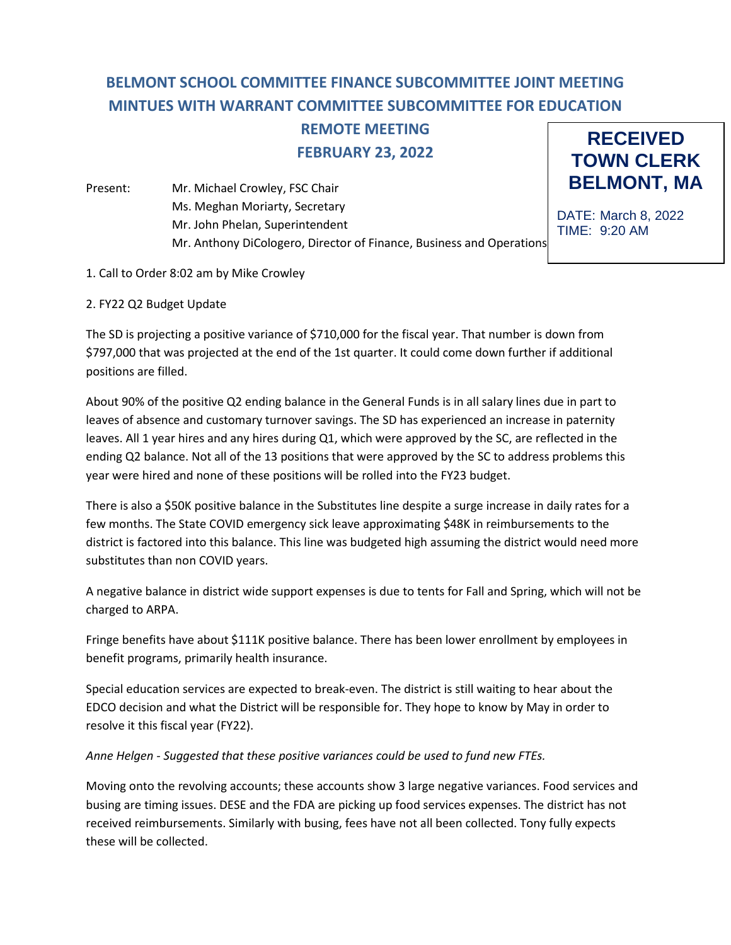# **BELMONT SCHOOL COMMITTEE FINANCE SUBCOMMITTEE JOINT MEETING MINTUES WITH WARRANT COMMITTEE SUBCOMMITTEE FOR EDUCATION REMOTE MEETING**

**FEBRUARY 23, 2022**

Present: Mr. Michael Crowley, FSC Chair Ms. Meghan Moriarty, Secretary Mr. John Phelan, Superintendent Mr. Anthony DiCologero, Director of Finance, Business and Operations



DATE: March 8, 2022 TIME: 9:20 AM

- 1. Call to Order 8:02 am by Mike Crowley
- 2. FY22 Q2 Budget Update

The SD is projecting a positive variance of \$710,000 for the fiscal year. That number is down from \$797,000 that was projected at the end of the 1st quarter. It could come down further if additional positions are filled.

About 90% of the positive Q2 ending balance in the General Funds is in all salary lines due in part to leaves of absence and customary turnover savings. The SD has experienced an increase in paternity leaves. All 1 year hires and any hires during Q1, which were approved by the SC, are reflected in the ending Q2 balance. Not all of the 13 positions that were approved by the SC to address problems this year were hired and none of these positions will be rolled into the FY23 budget.

There is also a \$50K positive balance in the Substitutes line despite a surge increase in daily rates for a few months. The State COVID emergency sick leave approximating \$48K in reimbursements to the district is factored into this balance. This line was budgeted high assuming the district would need more substitutes than non COVID years.

A negative balance in district wide support expenses is due to tents for Fall and Spring, which will not be charged to ARPA.

Fringe benefits have about \$111K positive balance. There has been lower enrollment by employees in benefit programs, primarily health insurance.

Special education services are expected to break-even. The district is still waiting to hear about the EDCO decision and what the District will be responsible for. They hope to know by May in order to resolve it this fiscal year (FY22).

*Anne Helgen - Suggested that these positive variances could be used to fund new FTEs.*

Moving onto the revolving accounts; these accounts show 3 large negative variances. Food services and busing are timing issues. DESE and the FDA are picking up food services expenses. The district has not received reimbursements. Similarly with busing, fees have not all been collected. Tony fully expects these will be collected.